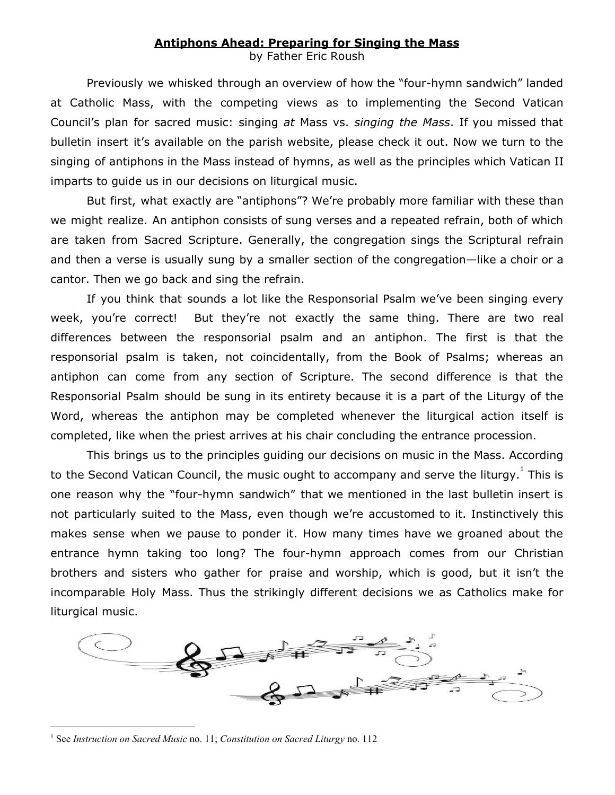## **Antiphons Ahead: Preparing for Singing the Mass**

by Father Eric Roush

Previously we whisked through an overview of how the "four-hymn sandwich" landed at Catholic Mass, with the competing views as to implementing the Second Vatican Council's plan for sacred music: singing *at* Mass vs. *singing the Mass*. If you missed that bulletin insert it's available on the parish website, please check it out. Now we turn to the singing of antiphons in the Mass instead of hymns, as well as the principles which Vatican II imparts to guide us in our decisions on liturgical music.

But first, what exactly are "antiphons"? We're probably more familiar with these than we might realize. An antiphon consists of sung verses and a repeated refrain, both of which are taken from Sacred Scripture. Generally, the congregation sings the Scriptural refrain and then a verse is usually sung by a smaller section of the congregation—like a choir or a cantor. Then we go back and sing the refrain.

If you think that sounds a lot like the Responsorial Psalm we've been singing every week, you're correct! But they're not exactly the same thing. There are two real differences between the responsorial psalm and an antiphon. The first is that the responsorial psalm is taken, not coincidentally, from the Book of Psalms; whereas an antiphon can come from any section of Scripture. The second difference is that the Responsorial Psalm should be sung in its entirety because it is a part of the Liturgy of the Word, whereas the antiphon may be completed whenever the liturgical action itself is completed, like when the priest arrives at his chair concluding the entrance procession.

This brings us to the principles guiding our decisions on music in the Mass. According to the Second Vatican Council, the music ought to accompany and serve the liturgy.  $^1$  This is one reason why the "four-hymn sandwich" that we mentioned in the last bulletin insert is not particularly suited to the Mass, even though we're accustomed to it. Instinctively this makes sense when we pause to ponder it. How many times have we groaned about the entrance hymn taking too long? The four-hymn approach comes from our Christian brothers and sisters who gather for praise and worship, which is good, but it isn't the incomparable Holy Mass. Thus the strikingly different decisions we as Catholics make for liturgical music.



<sup>1</sup> See *Instruction on Sacred Music* no. 11; *Constitution on Sacred Liturgy* no. 112